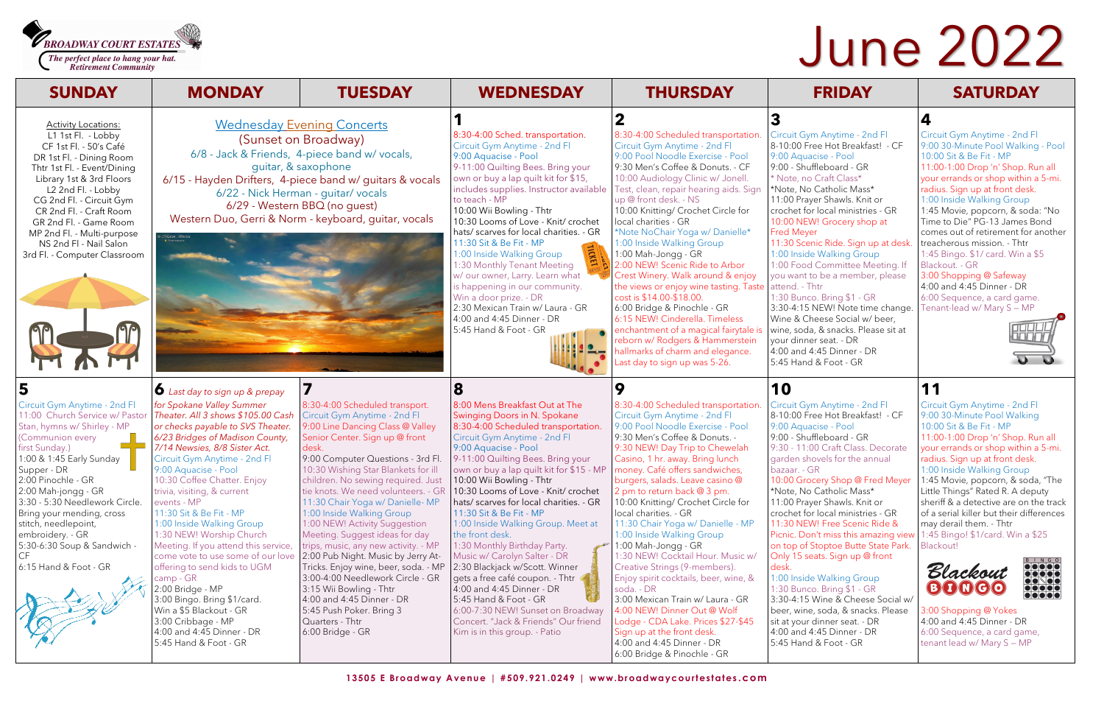**BROADWAY COURT ESTATES** 

The perfect place to hang your hat. **Retirement Community** 

> Circuit Gym Anytime - 2nd Fl 8-10:00 Free Hot Breakfast! - CF 9:00 Aquacise - Pool 9:00 - Shuffleboard - GR \* Note, no Craft Class\* \*Note, No Catholic Mass\* 11:00 Prayer Shawls. Knit or crochet for local ministries - GR 10:00 NEW! Grocery shop at 11:30 Scenic Ride. Sign up at desk. 1:00 Inside Walking Group 1:00 Food Committee Meeting. If you want to be a member, please 1:30 Bunco. Bring \$1 - GR 3:30-4:15 NEW! Note time change.

Wine & Cheese Social w/ beer, wine, soda, & snacks. Please sit at your dinner seat. - DR 4:00 and 4:45 Dinner - DR 5:45 Hand & Foot - GR

## **4**

Circuit Gym Anytime - 2nd Fl 9:00 30-Minute Pool Walking - Pool 10:00 Sit & Be Fit - MP 11:00-1:00 Drop 'n' Shop. Run all your errands or shop within a 5-mi. radius. Sign up at front desk. 1:00 Inside Walking Group 1:45 Movie, popcorn, & soda: "No Time to Die" PG-13 James Bond comes out of retirement for another treacherous mission. - Thtr 1:45 Bingo. \$1/ card. Win a \$5 Blackout. - GR 3:00 Shopping @ Safeway

4:00 and 4:45 Dinner - DR 6:00 Sequence, a card game. Tenant-lead w/ Mary S — MP





Circuit Gym Anytime - 2nd Fl 8-10:00 Free Hot Breakfast! - CF 9:00 Aquacise - Pool 9:00 - Shuffleboard - GR 9:30 - 11:00 Craft Class. Decorate garden shovels for the annual 10:00 Grocery Shop @ Fred Meyer

\*Note, No Catholic Mass\* 11:00 Prayer Shawls. Knit or crochet for local ministries - GR 11:30 NEW! Free Scenic Ride & Picnic. Don't miss this amazing view on top of Stoptoe Butte State Park. Only 15 seats. Sign up @ front

1:00 Inside Walking Group 1:30 Bunco. Bring \$1 - GR 3:30-4:15 Wine & Cheese Social w/ beer, wine, soda, & snacks. Please sit at your dinner seat. - DR 4:00 and 4:45 Dinner - DR 5:45 Hand & Foot - GR

# **11**

Circuit Gym Anytime - 2nd Fl 9:00 30-Minute Pool Walking 10:00 Sit & Be Fit - MP 11:00-1:00 Drop 'n' Shop. Run all your errands or shop within a 5-mi. radius. Sign up at front desk. 1:00 Inside Walking Group 1:45 Movie, popcorn, & soda, "The Little Things" Rated R. A deputy sheriff & a detective are on the track of a serial killer but their differences may derail them. - Thtr 1:45 Bingo! \$1/card. Win a \$25 Blackout!





3:00 Shopping @ Yokes 4:00 and 4:45 Dinner - DR 6:00 Sequence, a card game, tenant lead w/ Mary S — MP

# June 2022